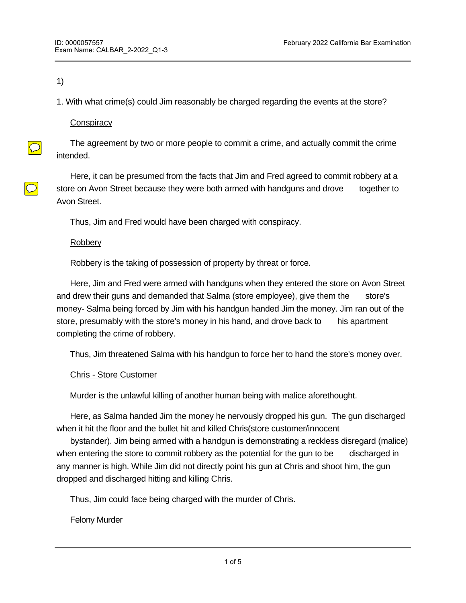#### 1)

1. With what crime(s) could Jim reasonably be charged regarding the events at the store?

# **Conspiracy**

 $\boxed{\bigcirc}$ 

 $\bigcirc$ 

 The agreement by two or more people to commit a crime, and actually commit the crime intended.

 Here, it can be presumed from the facts that Jim and Fred agreed to commit robbery at a store on Avon Street because they were both armed with handguns and drove together to Avon Street.

Thus, Jim and Fred would have been charged with conspiracy.

# **Robbery**

Robbery is the taking of possession of property by threat or force.

 Here, Jim and Fred were armed with handguns when they entered the store on Avon Street and drew their guns and demanded that Salma (store employee), give them the store's money- Salma being forced by Jim with his handgun handed Jim the money. Jim ran out of the store, presumably with the store's money in his hand, and drove back to his apartment completing the crime of robbery.

Thus, Jim threatened Salma with his handgun to force her to hand the store's money over.

# Chris - Store Customer

Murder is the unlawful killing of another human being with malice aforethought.

 Here, as Salma handed Jim the money he nervously dropped his gun. The gun discharged when it hit the floor and the bullet hit and killed Chris(store customer/innocent

 bystander). Jim being armed with a handgun is demonstrating a reckless disregard (malice) when entering the store to commit robbery as the potential for the gun to be discharged in any manner is high. While Jim did not directly point his gun at Chris and shoot him, the gun dropped and discharged hitting and killing Chris.

Thus, Jim could face being charged with the murder of Chris.

# Felony Murder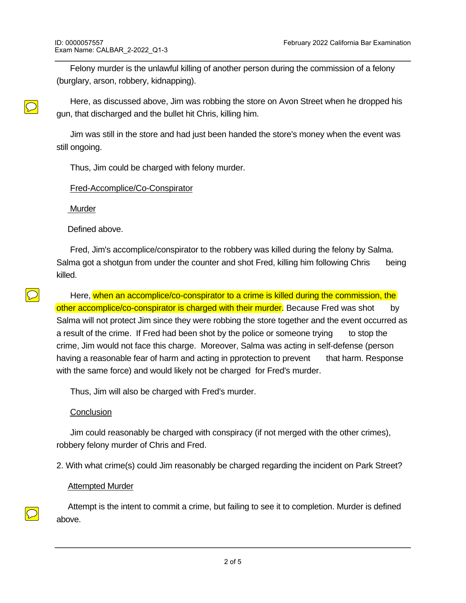Felony murder is the unlawful killing of another person during the commission of a felony (burglary, arson, robbery, kidnapping).

 Here, as discussed above, Jim was robbing the store on Avon Street when he dropped his gun, that discharged and the bullet hit Chris, killing him.

 Jim was still in the store and had just been handed the store's money when the event was still ongoing.

Thus, Jim could be charged with felony murder.

# Fred-Accomplice/Co-Conspirator

Murder

 $\bigcirc$ 

 $\overline{\mathcal{O}}$ 

Defined above.

 Fred, Jim's accomplice/conspirator to the robbery was killed during the felony by Salma. Salma got a shotgun from under the counter and shot Fred, killing him following Chris being killed.

 Here, when an accomplice/co-conspirator to a crime is killed during the commission, the other accomplice/co-conspirator is charged with their murder. Because Fred was shot by Salma will not protect Jim since they were robbing the store together and the event occurred as a result of the crime. If Fred had been shot by the police or someone trying to stop the crime, Jim would not face this charge. Moreover, Salma was acting in self-defense (person having a reasonable fear of harm and acting in pprotection to prevent that harm. Response with the same force) and would likely not be charged for Fred's murder.

Thus, Jim will also be charged with Fred's murder.

# **Conclusion**

 Jim could reasonably be charged with conspiracy (if not merged with the other crimes), robbery felony murder of Chris and Fred.

2. With what crime(s) could Jim reasonably be charged regarding the incident on Park Street?

# Attempted Murder

 Attempt is the intent to commit a crime, but failing to see it to completion. Murder is defined above.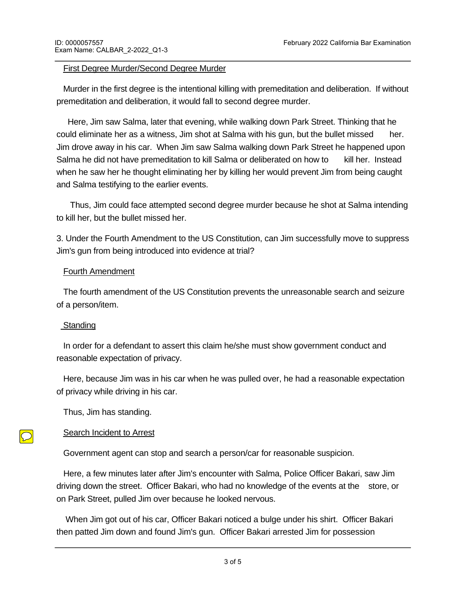#### First Degree Murder/Second Degree Murder

 Murder in the first degree is the intentional killing with premeditation and deliberation. If without premeditation and deliberation, it would fall to second degree murder.

 Here, Jim saw Salma, later that evening, while walking down Park Street. Thinking that he could eliminate her as a witness, Jim shot at Salma with his gun, but the bullet missed her. Jim drove away in his car. When Jim saw Salma walking down Park Street he happened upon Salma he did not have premeditation to kill Salma or deliberated on how to kill her. Instead when he saw her he thought eliminating her by killing her would prevent Jim from being caught and Salma testifying to the earlier events.

 Thus, Jim could face attempted second degree murder because he shot at Salma intending to kill her, but the bullet missed her.

3. Under the Fourth Amendment to the US Constitution, can Jim successfully move to suppress Jim's gun from being introduced into evidence at trial?

#### Fourth Amendment

 The fourth amendment of the US Constitution prevents the unreasonable search and seizure of a person/item.

#### Standing

 In order for a defendant to assert this claim he/she must show government conduct and reasonable expectation of privacy.

 Here, because Jim was in his car when he was pulled over, he had a reasonable expectation of privacy while driving in his car.

Thus, Jim has standing.

# Search Incident to Arrest

Government agent can stop and search a person/car for reasonable suspicion.

 Here, a few minutes later after Jim's encounter with Salma, Police Officer Bakari, saw Jim driving down the street. Officer Bakari, who had no knowledge of the events at the store, or on Park Street, pulled Jim over because he looked nervous.

 When Jim got out of his car, Officer Bakari noticed a bulge under his shirt. Officer Bakari then patted Jim down and found Jim's gun. Officer Bakari arrested Jim for possession

of concealed firearm and seized the gun. While we do not from the facts what  $\Delta$  facts what  $\Delta$ 

 $\bigcirc$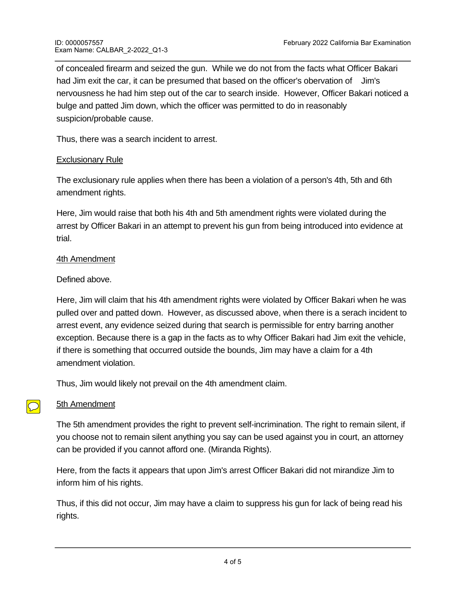of concealed firearm and seized the gun. While we do not from the facts what Officer Bakari had Jim exit the car, it can be presumed that based on the officer's obervation of Jim's nervousness he had him step out of the car to search inside. However, Officer Bakari noticed a bulge and patted Jim down, which the officer was permitted to do in reasonably suspicion/probable cause.

Thus, there was a search incident to arrest.

# Exclusionary Rule

The exclusionary rule applies when there has been a violation of a person's 4th, 5th and 6th amendment rights.

Here, Jim would raise that both his 4th and 5th amendment rights were violated during the arrest by Officer Bakari in an attempt to prevent his gun from being introduced into evidence at trial.

# 4th Amendment

# Defined above.

Here, Jim will claim that his 4th amendment rights were violated by Officer Bakari when he was pulled over and patted down. However, as discussed above, when there is a serach incident to arrest event, any evidence seized during that search is permissible for entry barring another exception. Because there is a gap in the facts as to why Officer Bakari had Jim exit the vehicle, if there is something that occurred outside the bounds, Jim may have a claim for a 4th amendment violation.

Thus, Jim would likely not prevail on the 4th amendment claim.

# 5th Amendment

 $\bigcirc$ 

The 5th amendment provides the right to prevent self-incrimination. The right to remain silent, if you choose not to remain silent anything you say can be used against you in court, an attorney can be provided if you cannot afford one. (Miranda Rights).

Here, from the facts it appears that upon Jim's arrest Officer Bakari did not mirandize Jim to inform him of his rights.

Thus, if this did not occur, Jim may have a claim to suppress his gun for lack of being read his rights.